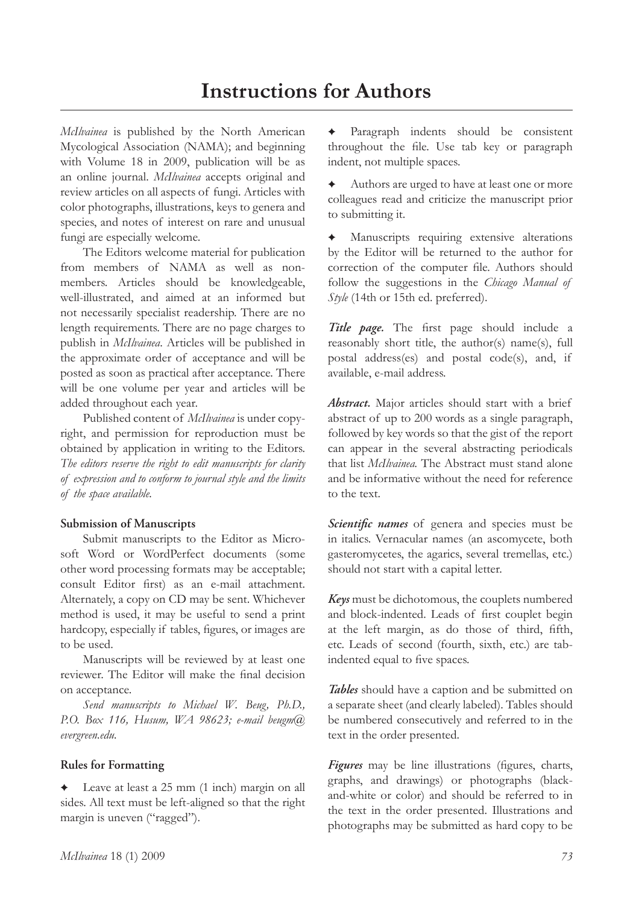## **Instructions for Authors**

*McIlvainea* is published by the North American Mycological Association (NAMA); and beginning with Volume 18 in 2009, publication will be as an online journal. *McIlvainea* accepts original and review articles on all aspects of fungi. Articles with color photographs, illustrations, keys to genera and species, and notes of interest on rare and unusual fungi are especially welcome.

The Editors welcome material for publication from members of NAMA as well as nonmembers. Articles should be knowledgeable, well-illustrated, and aimed at an informed but not necessarily specialist readership. There are no length requirements. There are no page charges to publish in *McIlvainea*. Articles will be published in the approximate order of acceptance and will be posted as soon as practical after acceptance. There will be one volume per year and articles will be added throughout each year.

Published content of *McIlvainea* is under copyright, and permission for reproduction must be obtained by application in writing to the Editors. *The editors reserve the right to edit manuscripts for clarity of expression and to conform to journal style and the limits of the space available.*

## **Submission of Manuscripts**

Submit manuscripts to the Editor as Microsoft Word or WordPerfect documents (some other word processing formats may be acceptable; consult Editor first) as an e-mail attachment. Alternately, a copy on CD may be sent. Whichever method is used, it may be useful to send a print hardcopy, especially if tables, figures, or images are to be used.

Manuscripts will be reviewed by at least one reviewer. The Editor will make the final decision on acceptance.

*Send manuscripts to Michael W. Beug, Ph.D., P.O. Box 116, Husum, WA 98623; e-mail beugm@ evergreen.edu.*

## **Rules for Formatting**

 Leave at least a 25 mm (1 inch) margin on all sides. All text must be left-aligned so that the right margin is uneven ("ragged").

 Paragraph indents should be consistent throughout the file. Use tab key or paragraph indent, not multiple spaces.

 Authors are urged to have at least one or more colleagues read and criticize the manuscript prior to submitting it.

 Manuscripts requiring extensive alterations by the Editor will be returned to the author for correction of the computer file. Authors should follow the suggestions in the *Chicago Manual of Style* (14th or 15th ed. preferred).

*Title page.* The first page should include a reasonably short title, the author(s) name(s), full postal address(es) and postal code(s), and, if available, e-mail address.

*Abstract.* Major articles should start with a brief abstract of up to 200 words as a single paragraph, followed by key words so that the gist of the report can appear in the several abstracting periodicals that list *McIlvainea.* The Abstract must stand alone and be informative without the need for reference to the text.

*Scientific names* of genera and species must be in italics. Vernacular names (an ascomycete, both gasteromycetes, the agarics, several tremellas, etc.) should not start with a capital letter.

*Keys* must be dichotomous, the couplets numbered and block-indented. Leads of first couplet begin at the left margin, as do those of third, fifth, etc. Leads of second (fourth, sixth, etc.) are tabindented equal to five spaces.

*Tables* should have a caption and be submitted on a separate sheet (and clearly labeled). Tables should be numbered consecutively and referred to in the text in the order presented.

*Figures* may be line illustrations (figures, charts, graphs, and drawings) or photographs (blackand-white or color) and should be referred to in the text in the order presented. Illustrations and photographs may be submitted as hard copy to be